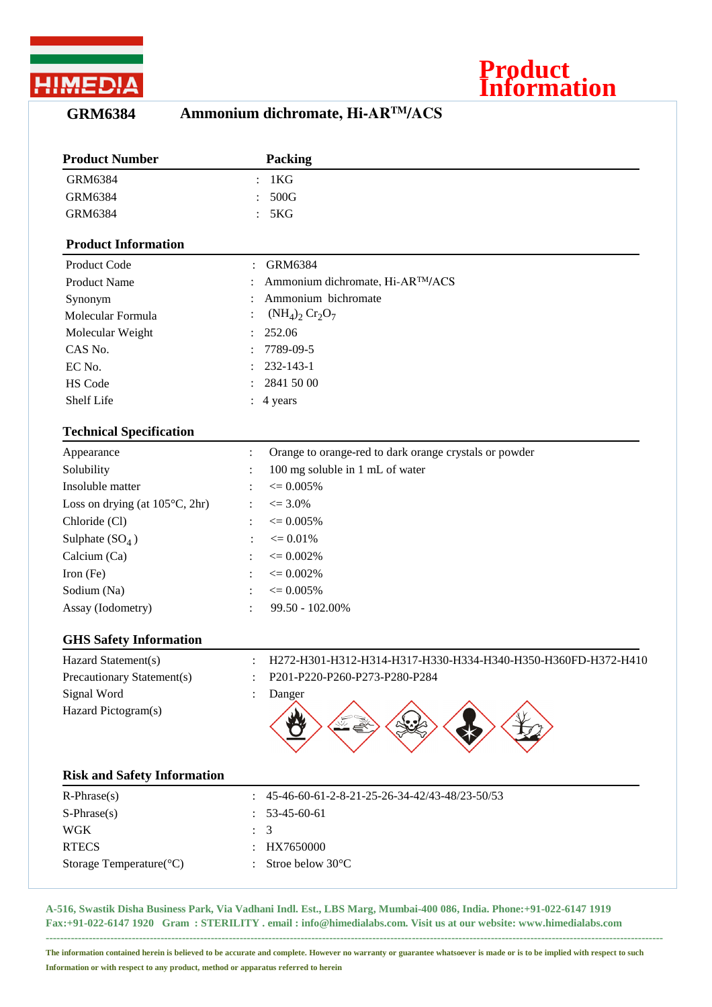

## **Product Information**

## **GRM6384 Ammonium dichromate, Hi-ARTM/ACS**

| <b>Product Number</b>                    | <b>Packing</b>                                                                  |
|------------------------------------------|---------------------------------------------------------------------------------|
| <b>GRM6384</b>                           | 1 <sub>K</sub> G                                                                |
| <b>GRM6384</b>                           | 500G                                                                            |
| <b>GRM6384</b>                           | 5KG                                                                             |
| <b>Product Information</b>               |                                                                                 |
| Product Code                             | <b>GRM6384</b>                                                                  |
| <b>Product Name</b>                      | Ammonium dichromate, Hi-AR™/ACS                                                 |
| Synonym                                  | Ammonium bichromate                                                             |
| Molecular Formula                        | $(NH_4)_2$ $Cr_2O_7$                                                            |
| Molecular Weight                         | 252.06                                                                          |
| CAS No.                                  | 7789-09-5                                                                       |
| EC No.                                   | 232-143-1                                                                       |
| HS Code                                  | 2841 50 00                                                                      |
| <b>Shelf Life</b>                        | 4 years                                                                         |
| <b>Technical Specification</b>           |                                                                                 |
| Appearance                               | Orange to orange-red to dark orange crystals or powder<br>$\ddot{\cdot}$        |
| Solubility                               | 100 mg soluble in 1 mL of water                                                 |
| Insoluble matter                         | $\epsilon = 0.005\%$                                                            |
| Loss on drying (at $105^{\circ}$ C, 2hr) | $\epsilon = 3.0\%$                                                              |
| Chloride (Cl)                            | $\epsilon = 0.005\%$                                                            |
| Sulphate $(SO_4)$                        | $\epsilon = 0.01\%$                                                             |
| Calcium (Ca)                             | $\epsilon = 0.002\%$                                                            |
| Iron (Fe)                                | $\epsilon = 0.002\%$                                                            |
| Sodium (Na)                              | $\epsilon = 0.005\%$                                                            |
| Assay (Iodometry)                        | 99.50 - 102.00%                                                                 |
| <b>GHS Safety Information</b>            |                                                                                 |
| Hazard Statement(s)                      | H272-H301-H312-H314-H317-H330-H334-H340-H350-H360FD-H372-H410<br>$\ddot{\cdot}$ |
| Precautionary Statement(s)               | P201-P220-P260-P273-P280-P284                                                   |
| Signal Word                              | Danger                                                                          |
| Hazard Pictogram(s)                      |                                                                                 |
| <b>Risk and Safety Information</b>       |                                                                                 |
| $R$ -Phrase $(s)$                        | 45-46-60-61-2-8-21-25-26-34-42/43-48/23-50/53                                   |
| $S-Phrase(s)$                            | 53-45-60-61                                                                     |
| <b>WGK</b>                               | 3                                                                               |
| <b>RTECS</b>                             | HX7650000                                                                       |
| Storage Temperature(°C)                  | Stroe below 30°C                                                                |
|                                          |                                                                                 |

**A-516, Swastik Disha Business Park, Via Vadhani Indl. Est., LBS Marg, Mumbai-400 086, India. Phone:+91-022-6147 1919 Fax:+91-022-6147 1920 Gram : STERILITY . email : info@himedialabs.com. Visit us at our website: www.himedialabs.com ----------------------------------------------------------------------------------------------------------------------------------------------------------------------------**

**The information contained herein is believed to be accurate and complete. However no warranty or guarantee whatsoever is made or is to be implied with respect to such Information or with respect to any product, method or apparatus referred to herein**